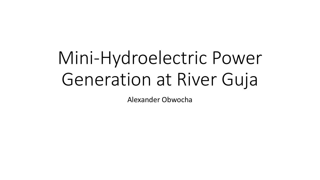# Mini-Hydroelectric Power Generation at River Guja

Alexander Obwocha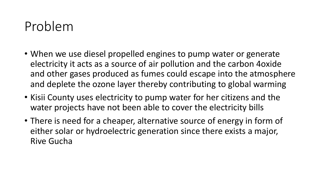## Problem

- When we use diesel propelled engines to pump water or generate electricity it acts as a source of air pollution and the carbon 4oxide and other gases produced as fumes could escape into the atmosphere and deplete the ozone layer thereby contributing to global warming
- Kisii County uses electricity to pump water for her citizens and the water projects have not been able to cover the electricity bills
- There is need for a cheaper, alternative source of energy in form of either solar or hydroelectric generation since there exists a major, Rive Gucha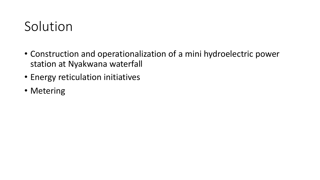# Solution

- Construction and operationalization of a mini hydroelectric power station at Nyakwana waterfall
- Energy reticulation initiatives
- Metering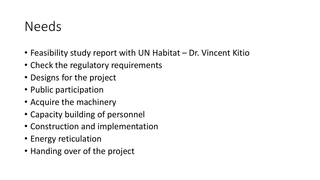#### Needs

- Feasibility study report with UN Habitat Dr. Vincent Kitio
- Check the regulatory requirements
- Designs for the project
- Public participation
- Acquire the machinery
- Capacity building of personnel
- Construction and implementation
- Energy reticulation
- Handing over of the project